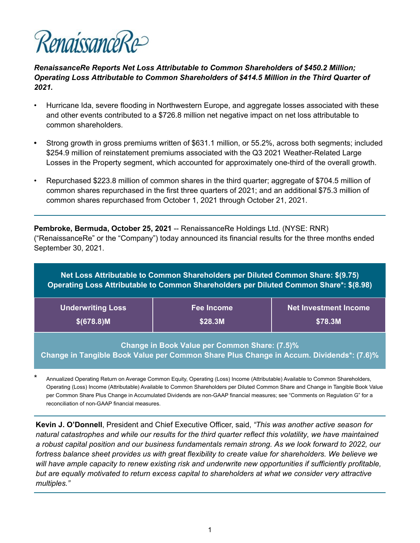

*RenaissanceRe Reports Net Loss Attributable to Common Shareholders of \$450.2 Million; Operating Loss Attributable to Common Shareholders of \$414.5 Million in the Third Quarter of 2021.* 

- Hurricane Ida, severe flooding in Northwestern Europe, and aggregate losses associated with these and other events contributed to a \$726.8 million net negative impact on net loss attributable to common shareholders.
- **•** Strong growth in gross premiums written of \$631.1 million, or 55.2%, across both segments; included \$254.9 million of reinstatement premiums associated with the Q3 2021 Weather-Related Large Losses in the Property segment, which accounted for approximately one-third of the overall growth.
- Repurchased \$223.8 million of common shares in the third quarter; aggregate of \$704.5 million of common shares repurchased in the first three quarters of 2021; and an additional \$75.3 million of common shares repurchased from October 1, 2021 through October 21, 2021.

**Pembroke, Bermuda, October 25, 2021** -- RenaissanceRe Holdings Ltd. (NYSE: RNR) ("RenaissanceRe" or the "Company") today announced its financial results for the three months ended September 30, 2021.

| Net Loss Attributable to Common Shareholders per Diluted Common Share: \$(9.75)<br>Operating Loss Attributable to Common Shareholders per Diluted Common Share*: \$(8.98) |                              |                                         |  |  |  |  |  |  |
|---------------------------------------------------------------------------------------------------------------------------------------------------------------------------|------------------------------|-----------------------------------------|--|--|--|--|--|--|
| <b>Underwriting Loss</b><br>\$(678.8)M                                                                                                                                    | <b>Fee Income</b><br>\$28.3M | <b>Net Investment Income</b><br>\$78.3M |  |  |  |  |  |  |
| <b>Change in Book Value per Common Share: (7.5)%</b><br>Change in Tangible Book Value per Common Share Plus Change in Accum. Dividends*: (7.6)%                           |                              |                                         |  |  |  |  |  |  |

Annualized Operating Return on Average Common Equity, Operating (Loss) Income (Attributable) Available to Common Shareholders, Operating (Loss) Income (Attributable) Available to Common Shareholders per Diluted Common Share and Change in Tangible Book Value per Common Share Plus Change in Accumulated Dividends are non-GAAP financial measures; see "Comments on Regulation G" for a reconciliation of non-GAAP financial measures.

**Kevin J. O'Donnell**, President and Chief Executive Officer, said, *"This was another active season for natural catastrophes and while our results for the third quarter reflect this volatility, we have maintained a robust capital position and our business fundamentals remain strong. As we look forward to 2022, our fortress balance sheet provides us with great flexibility to create value for shareholders. We believe we*  will have ample capacity to renew existing risk and underwrite new opportunities if sufficiently profitable, *but are equally motivated to return excess capital to shareholders at what we consider very attractive multiples."*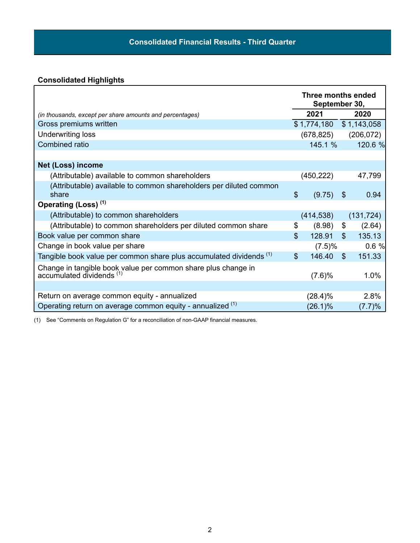## **Consolidated Highlights**

|                                                                                         | Three months ended<br>September 30, |             |              |                           |
|-----------------------------------------------------------------------------------------|-------------------------------------|-------------|--------------|---------------------------|
| (in thousands, except per share amounts and percentages)                                |                                     | 2021        |              | 2020                      |
| Gross premiums written                                                                  |                                     |             |              | $$1,774,180$ $$1,143,058$ |
| Underwriting loss                                                                       |                                     | (678, 825)  |              | (206, 072)                |
| <b>Combined ratio</b>                                                                   |                                     | 145.1 %     |              | 120.6 %                   |
|                                                                                         |                                     |             |              |                           |
| <b>Net (Loss) income</b>                                                                |                                     |             |              |                           |
| (Attributable) available to common shareholders                                         |                                     | (450, 222)  |              | 47,799                    |
| (Attributable) available to common shareholders per diluted common                      |                                     |             |              |                           |
| share                                                                                   | $\mathbb{S}$                        | (9.75)      | \$           | 0.94                      |
| Operating (Loss) <sup>(1)</sup>                                                         |                                     |             |              |                           |
| (Attributable) to common shareholders                                                   |                                     | (414, 538)  |              | (131, 724)                |
| (Attributable) to common shareholders per diluted common share                          | \$                                  | (8.98)      | \$           | (2.64)                    |
| Book value per common share                                                             | $\mathfrak{L}$                      | 128.91      | $\mathbb{S}$ | 135.13                    |
| Change in book value per share                                                          |                                     | $(7.5)\%$   |              | $0.6 \%$                  |
| Tangible book value per common share plus accumulated dividends (1)                     | $\mathfrak{S}$                      | $146.40$ \$ |              | 151.33                    |
| Change in tangible book value per common share plus change in accumulated dividends (1) |                                     | (7.6)%      |              | 1.0%                      |
|                                                                                         |                                     |             |              |                           |
| Return on average common equity - annualized                                            |                                     | $(28.4)\%$  |              | 2.8%                      |
| Operating return on average common equity - annualized (1)                              |                                     | $(26.1)\%$  |              | (7.7)%                    |

(1) See "Comments on Regulation G" for a reconciliation of non-GAAP financial measures.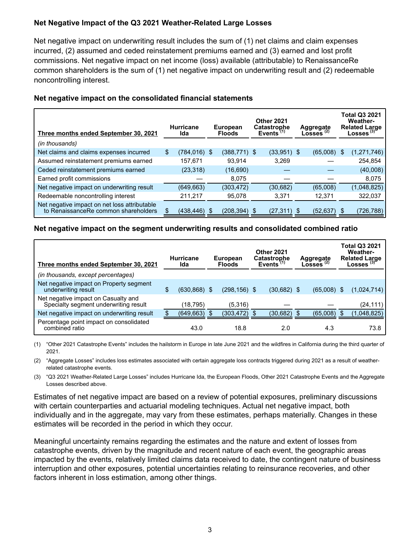## **Net Negative Impact of the Q3 2021 Weather-Related Large Losses**

Net negative impact on underwriting result includes the sum of (1) net claims and claim expenses incurred, (2) assumed and ceded reinstatement premiums earned and (3) earned and lost profit commissions. Net negative impact on net income (loss) available (attributable) to RenaissanceRe common shareholders is the sum of (1) net negative impact on underwriting result and (2) redeemable noncontrolling interest.

|  |  | Net negative impact on the consolidated financial statements |  |
|--|--|--------------------------------------------------------------|--|
|  |  |                                                              |  |

| Three months ended September 30, 2021                                                | <b>Hurricane</b><br>Ida |              | <b>European</b><br><b>Floods</b> |              | <b>Other 2021</b><br><b>Catastrophe</b><br>Events <sup><math>(1)</math></sup> |               | Aggregate<br>Losses $(2)$ |          | Total Q3 2021<br><b>Weather-</b><br><b>Related Large</b><br>Losses $^{(3)}$ |
|--------------------------------------------------------------------------------------|-------------------------|--------------|----------------------------------|--------------|-------------------------------------------------------------------------------|---------------|---------------------------|----------|-----------------------------------------------------------------------------|
| (in thousands)                                                                       |                         |              |                                  |              |                                                                               |               |                           |          |                                                                             |
| Net claims and claims expenses incurred                                              | \$                      | (784,016) \$ |                                  | (388,771) \$ |                                                                               | $(33,951)$ \$ |                           | (65,008) | (1, 271, 746)                                                               |
| Assumed reinstatement premiums earned                                                |                         | 157.671      |                                  | 93.914       |                                                                               | 3.269         |                           |          | 254.854                                                                     |
| Ceded reinstatement premiums earned                                                  |                         | (23, 318)    |                                  | (16, 690)    |                                                                               |               |                           |          | (40,008)                                                                    |
| Earned profit commissions                                                            |                         |              |                                  | 8.075        |                                                                               |               |                           |          | 8,075                                                                       |
| Net negative impact on underwriting result                                           |                         | (649, 663)   |                                  | (303, 472)   |                                                                               | (30, 682)     |                           | (65,008) | (1,048,825)                                                                 |
| Redeemable noncontrolling interest                                                   |                         | 211.217      |                                  | 95.078       |                                                                               | 3,371         |                           | 12.371   | 322,037                                                                     |
| Net negative impact on net loss attributable<br>to RenaissanceRe common shareholders |                         | (438,446)    |                                  | (208, 394)   |                                                                               | (27,311)      | \$                        | (52,637  | (726,788)                                                                   |

#### **Net negative impact on the segment underwriting results and consolidated combined ratio**

| Three months ended September 30, 2021                                        | <b>Hurricane</b><br>Ida |                 | <b>European</b><br><b>Floods</b> |              | <b>Other 2021</b><br><b>Catastrophe</b><br>Events $(1)$ |               | Aggregate<br>Losses $^{(2)}$ |          | Total Q3 2021<br><b>Weather-</b><br><b>Related Large</b><br>Losses $(3)$ |             |
|------------------------------------------------------------------------------|-------------------------|-----------------|----------------------------------|--------------|---------------------------------------------------------|---------------|------------------------------|----------|--------------------------------------------------------------------------|-------------|
| (in thousands, except percentages)                                           |                         |                 |                                  |              |                                                         |               |                              |          |                                                                          |             |
| Net negative impact on Property segment<br>underwriting result               | \$                      | $(630, 868)$ \$ |                                  | (298,156) \$ |                                                         | $(30,682)$ \$ |                              | (65,008) |                                                                          | (1,024,714) |
| Net negative impact on Casualty and<br>Specialty segment underwriting result |                         | (18,795)        |                                  | (5,316)      |                                                         |               |                              |          |                                                                          | (24,111)    |
| Net negative impact on underwriting result                                   |                         | (649, 663)      |                                  | (303,472)    |                                                         | (30,682)      | \$                           | (65,008) | \$.                                                                      | (1,048,825) |
| Percentage point impact on consolidated<br>combined ratio                    |                         | 43.0            |                                  | 18.8         |                                                         | 2.0           |                              | 4.3      |                                                                          | 73.8        |

(1) "Other 2021 Catastrophe Events" includes the hailstorm in Europe in late June 2021 and the wildfires in California during the third quarter of 2021.

(2) "Aggregate Losses" includes loss estimates associated with certain aggregate loss contracts triggered during 2021 as a result of weatherrelated catastrophe events.

(3) "Q3 2021 Weather-Related Large Losses" includes Hurricane Ida, the European Floods, Other 2021 Catastrophe Events and the Aggregate Losses described above.

Estimates of net negative impact are based on a review of potential exposures, preliminary discussions with certain counterparties and actuarial modeling techniques. Actual net negative impact, both individually and in the aggregate, may vary from these estimates, perhaps materially. Changes in these estimates will be recorded in the period in which they occur.

Meaningful uncertainty remains regarding the estimates and the nature and extent of losses from catastrophe events, driven by the magnitude and recent nature of each event, the geographic areas impacted by the events, relatively limited claims data received to date, the contingent nature of business interruption and other exposures, potential uncertainties relating to reinsurance recoveries, and other factors inherent in loss estimation, among other things.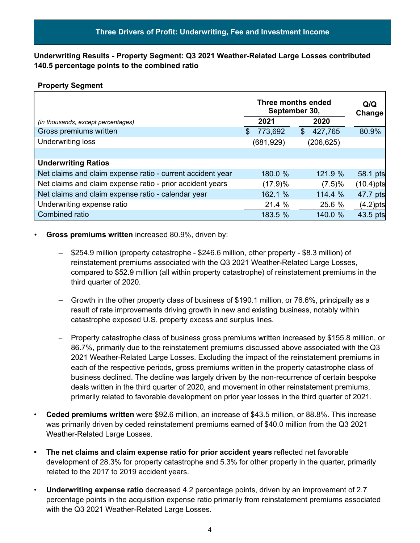**Underwriting Results - Property Segment: Q3 2021 Weather-Related Large Losses contributed 140.5 percentage points to the combined ratio**

#### **Property Segment**

|                                                            | Three months ended<br>September 30, | Q/Q<br>Change |              |
|------------------------------------------------------------|-------------------------------------|---------------|--------------|
| (in thousands, except percentages)                         | 2021                                | 2020          |              |
| Gross premiums written                                     | 773,692<br>\$.                      | \$<br>427,765 | 80.9%        |
| Underwriting loss                                          | (681, 929)                          | (206,625)     |              |
|                                                            |                                     |               |              |
| <b>Underwriting Ratios</b>                                 |                                     |               |              |
| Net claims and claim expense ratio - current accident year | 180.0 %                             | 121.9 %       | 58.1 pts     |
| Net claims and claim expense ratio - prior accident years  | (17.9)%                             | (7.5)%        | $(10.4)$ pts |
| Net claims and claim expense ratio - calendar year         | 162.1 %                             | 114.4 %       | 47.7 pts     |
| Underwriting expense ratio                                 | 21.4 %                              | 25.6 %        | $(4.2)$ pts  |
| Combined ratio                                             | 183.5 %                             | 140.0 %       | 43.5 pts     |

#### **Gross premiums written** increased 80.9%, driven by:

- \$254.9 million (property catastrophe \$246.6 million, other property \$8.3 million) of reinstatement premiums associated with the Q3 2021 Weather-Related Large Losses, compared to \$52.9 million (all within property catastrophe) of reinstatement premiums in the third quarter of 2020.
- Growth in the other property class of business of \$190.1 million, or 76.6%, principally as a result of rate improvements driving growth in new and existing business, notably within catastrophe exposed U.S. property excess and surplus lines.
- Property catastrophe class of business gross premiums written increased by \$155.8 million, or 86.7%, primarily due to the reinstatement premiums discussed above associated with the Q3 2021 Weather-Related Large Losses. Excluding the impact of the reinstatement premiums in each of the respective periods, gross premiums written in the property catastrophe class of business declined. The decline was largely driven by the non-recurrence of certain bespoke deals written in the third quarter of 2020, and movement in other reinstatement premiums, primarily related to favorable development on prior year losses in the third quarter of 2021.
- **Ceded premiums written** were \$92.6 million, an increase of \$43.5 million, or 88.8%. This increase was primarily driven by ceded reinstatement premiums earned of \$40.0 million from the Q3 2021 Weather-Related Large Losses.
- **• The net claims and claim expense ratio for prior accident years** reflected net favorable development of 28.3% for property catastrophe and 5.3% for other property in the quarter, primarily related to the 2017 to 2019 accident years.
- **Underwriting expense ratio** decreased 4.2 percentage points, driven by an improvement of 2.7 percentage points in the acquisition expense ratio primarily from reinstatement premiums associated with the Q3 2021 Weather-Related Large Losses.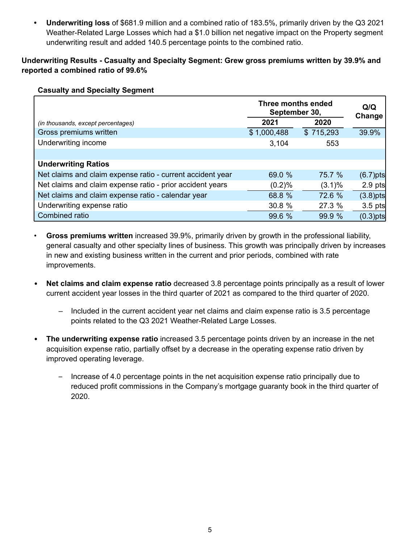**• Underwriting loss** of \$681.9 million and a combined ratio of 183.5%, primarily driven by the Q3 2021 Weather-Related Large Losses which had a \$1.0 billion net negative impact on the Property segment underwriting result and added 140.5 percentage points to the combined ratio.

## **Underwriting Results - Casualty and Specialty Segment: Grew gross premiums written by 39.9% and reported a combined ratio of 99.6%**

### **Casualty and Specialty Segment**

|                                                            | Three months ended<br>September 30, |           | Q/Q<br>Change |
|------------------------------------------------------------|-------------------------------------|-----------|---------------|
| (in thousands, except percentages)                         | 2021                                | 2020      |               |
| Gross premiums written                                     | \$1,000,488                         | \$715,293 | 39.9%         |
| Underwriting income                                        | 3,104                               | 553       |               |
|                                                            |                                     |           |               |
| <b>Underwriting Ratios</b>                                 |                                     |           |               |
| Net claims and claim expense ratio - current accident year | 69.0 %                              | 75.7 %    | $(6.7)$ pts   |
| Net claims and claim expense ratio - prior accident years  | (0.2)%                              | $(3.1)\%$ | $2.9$ pts     |
| Net claims and claim expense ratio - calendar year         | 68.8 %                              | 72.6 %    | $(3.8)$ pts   |
| Underwriting expense ratio                                 | 30.8 %                              | 27.3 %    | $3.5$ pts     |
| Combined ratio                                             | 99.6 %                              | 99.9 %    | $(0.3)$ pts   |

- **Gross premiums written** increased 39.9%, primarily driven by growth in the professional liability, general casualty and other specialty lines of business. This growth was principally driven by increases in new and existing business written in the current and prior periods, combined with rate improvements.
- **Net claims and claim expense ratio** decreased 3.8 percentage points principally as a result of lower current accident year losses in the third quarter of 2021 as compared to the third quarter of 2020.
	- Included in the current accident year net claims and claim expense ratio is 3.5 percentage points related to the Q3 2021 Weather-Related Large Losses.
- **The underwriting expense ratio** increased 3.5 percentage points driven by an increase in the net acquisition expense ratio, partially offset by a decrease in the operating expense ratio driven by improved operating leverage.
	- Increase of 4.0 percentage points in the net acquisition expense ratio principally due to reduced profit commissions in the Company's mortgage guaranty book in the third quarter of 2020.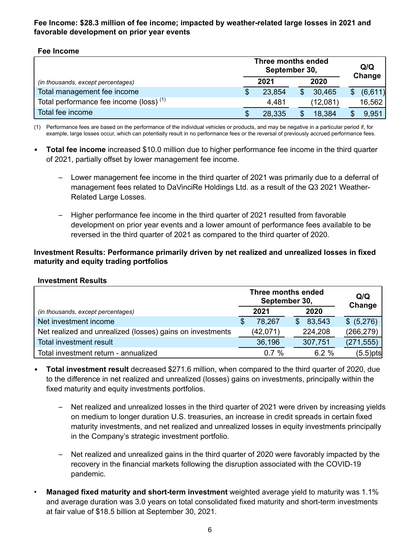#### **Fee Income: \$28.3 million of fee income; impacted by weather-related large losses in 2021 and favorable development on prior year events**

**Fee Income**

|                                                    | Three months ended<br>September 30, |        |  |          | Q/Q<br>Change |            |
|----------------------------------------------------|-------------------------------------|--------|--|----------|---------------|------------|
| (in thousands, except percentages)                 |                                     | 2021   |  | 2020     |               |            |
| Total management fee income                        |                                     | 23,854 |  | 30,465   |               | \$ (6,611) |
| Total performance fee income (loss) <sup>(1)</sup> |                                     | 4,481  |  | (12,081) |               | 16,562     |
| Total fee income                                   |                                     | 28,335 |  | 18,384   |               | 9,951      |

(1) Performance fees are based on the performance of the individual vehicles or products, and may be negative in a particular period if, for example, large losses occur, which can potentially result in no performance fees or the reversal of previously accrued performance fees.

- **Total fee income** increased \$10.0 million due to higher performance fee income in the third quarter of 2021, partially offset by lower management fee income.
	- Lower management fee income in the third quarter of 2021 was primarily due to a deferral of management fees related to DaVinciRe Holdings Ltd. as a result of the Q3 2021 Weather-Related Large Losses.
	- Higher performance fee income in the third quarter of 2021 resulted from favorable development on prior year events and a lower amount of performance fees available to be reversed in the third quarter of 2021 as compared to the third quarter of 2020.

### **Investment Results: Performance primarily driven by net realized and unrealized losses in fixed maturity and equity trading portfolios**

#### **Investment Results**

|                                                           | Three months ended<br>September 30, | Q/Q<br>Change |             |
|-----------------------------------------------------------|-------------------------------------|---------------|-------------|
| (in thousands, except percentages)                        | 2021                                | 2020          |             |
| Net investment income                                     | 78.267                              | 83,543        | \$ (5,276)  |
| Net realized and unrealized (losses) gains on investments | (42,071)                            | 224,208       | (266, 279)  |
| Total investment result                                   | 36,196                              | 307,751       | (271, 555)  |
| Total investment return - annualized                      | $0.7 \%$                            | 6.2%          | $(5.5)$ pts |

- *•* **Total investment result** decreased \$271.6 million, when compared to the third quarter of 2020, due to the difference in net realized and unrealized (losses) gains on investments, principally within the fixed maturity and equity investments portfolios.
	- Net realized and unrealized losses in the third quarter of 2021 were driven by increasing yields on medium to longer duration U.S. treasuries, an increase in credit spreads in certain fixed maturity investments, and net realized and unrealized losses in equity investments principally in the Company's strategic investment portfolio.
	- *–* Net realized and unrealized gains in the third quarter of 2020 were favorably impacted by the recovery in the financial markets following the disruption associated with the COVID-19 pandemic.
- **Managed fixed maturity and short-term investment** weighted average yield to maturity was 1.1% and average duration was 3.0 years on total consolidated fixed maturity and short-term investments at fair value of \$18.5 billion at September 30, 2021.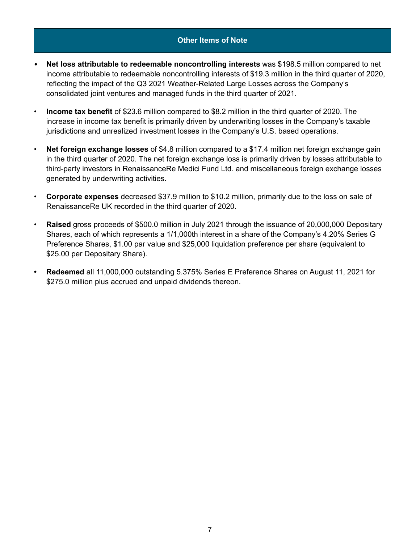#### **Other Items of Note**

- **Net loss attributable to redeemable noncontrolling interests** was \$198.5 million compared to net income attributable to redeemable noncontrolling interests of \$19.3 million in the third quarter of 2020, reflecting the impact of the Q3 2021 Weather-Related Large Losses across the Company's consolidated joint ventures and managed funds in the third quarter of 2021.
- **Income tax benefit** of \$23.6 million compared to \$8.2 million in the third quarter of 2020. The increase in income tax benefit is primarily driven by underwriting losses in the Company's taxable jurisdictions and unrealized investment losses in the Company's U.S. based operations.
- *•* **Net foreign exchange losses** of \$4.8 million compared to a \$17.4 million net foreign exchange gain in the third quarter of 2020. The net foreign exchange loss is primarily driven by losses attributable to third-party investors in RenaissanceRe Medici Fund Ltd. and miscellaneous foreign exchange losses generated by underwriting activities.
- *•* **Corporate expenses** decreased \$37.9 million to \$10.2 million, primarily due to the loss on sale of RenaissanceRe UK recorded in the third quarter of 2020.
- **Raised** gross proceeds of \$500.0 million in July 2021 through the issuance of 20,000,000 Depositary Shares, each of which represents a 1/1,000th interest in a share of the Company's 4.20% Series G Preference Shares, \$1.00 par value and \$25,000 liquidation preference per share (equivalent to \$25.00 per Depositary Share).
- **• Redeemed** all 11,000,000 outstanding 5.375% Series E Preference Shares on August 11, 2021 for \$275.0 million plus accrued and unpaid dividends thereon.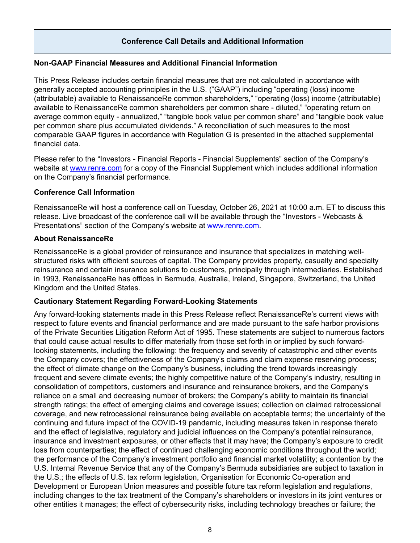### **Conference Call Details and Additional Information**

#### **Non-GAAP Financial Measures and Additional Financial Information**

This Press Release includes certain financial measures that are not calculated in accordance with generally accepted accounting principles in the U.S. ("GAAP") including "operating (loss) income (attributable) available to RenaissanceRe common shareholders," "operating (loss) income (attributable) available to RenaissanceRe common shareholders per common share - diluted," "operating return on average common equity - annualized," "tangible book value per common share" and "tangible book value per common share plus accumulated dividends." A reconciliation of such measures to the most comparable GAAP figures in accordance with Regulation G is presented in the attached supplemental financial data.

Please refer to the "Investors - Financial Reports - Financial Supplements" section of the Company's website at www.renre.com for a copy of the Financial Supplement which includes additional information on the Company's financial performance.

#### **Conference Call Information**

RenaissanceRe will host a conference call on Tuesday, October 26, 2021 at 10:00 a.m. ET to discuss this release. Live broadcast of the conference call will be available through the "Investors - Webcasts & Presentations" section of the Company's website at www.renre.com.

#### **About RenaissanceRe**

RenaissanceRe is a global provider of reinsurance and insurance that specializes in matching wellstructured risks with efficient sources of capital. The Company provides property, casualty and specialty reinsurance and certain insurance solutions to customers, principally through intermediaries. Established in 1993, RenaissanceRe has offices in Bermuda, Australia, Ireland, Singapore, Switzerland, the United Kingdom and the United States.

#### **Cautionary Statement Regarding Forward-Looking Statements**

Any forward-looking statements made in this Press Release reflect RenaissanceRe's current views with respect to future events and financial performance and are made pursuant to the safe harbor provisions of the Private Securities Litigation Reform Act of 1995. These statements are subject to numerous factors that could cause actual results to differ materially from those set forth in or implied by such forwardlooking statements, including the following: the frequency and severity of catastrophic and other events the Company covers; the effectiveness of the Company's claims and claim expense reserving process; the effect of climate change on the Company's business, including the trend towards increasingly frequent and severe climate events; the highly competitive nature of the Company's industry, resulting in consolidation of competitors, customers and insurance and reinsurance brokers, and the Company's reliance on a small and decreasing number of brokers; the Company's ability to maintain its financial strength ratings; the effect of emerging claims and coverage issues; collection on claimed retrocessional coverage, and new retrocessional reinsurance being available on acceptable terms; the uncertainty of the continuing and future impact of the COVID-19 pandemic, including measures taken in response thereto and the effect of legislative, regulatory and judicial influences on the Company's potential reinsurance, insurance and investment exposures, or other effects that it may have; the Company's exposure to credit loss from counterparties; the effect of continued challenging economic conditions throughout the world; the performance of the Company's investment portfolio and financial market volatility; a contention by the U.S. Internal Revenue Service that any of the Company's Bermuda subsidiaries are subject to taxation in the U.S.; the effects of U.S. tax reform legislation, Organisation for Economic Co-operation and Development or European Union measures and possible future tax reform legislation and regulations, including changes to the tax treatment of the Company's shareholders or investors in its joint ventures or other entities it manages; the effect of cybersecurity risks, including technology breaches or failure; the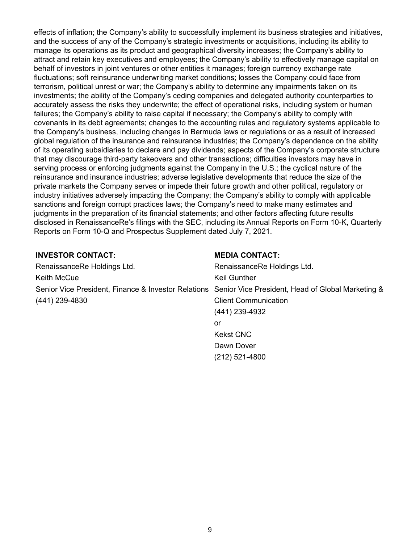effects of inflation; the Company's ability to successfully implement its business strategies and initiatives, and the success of any of the Company's strategic investments or acquisitions, including its ability to manage its operations as its product and geographical diversity increases; the Company's ability to attract and retain key executives and employees; the Company's ability to effectively manage capital on behalf of investors in joint ventures or other entities it manages; foreign currency exchange rate fluctuations; soft reinsurance underwriting market conditions; losses the Company could face from terrorism, political unrest or war; the Company's ability to determine any impairments taken on its investments; the ability of the Company's ceding companies and delegated authority counterparties to accurately assess the risks they underwrite; the effect of operational risks, including system or human failures; the Company's ability to raise capital if necessary; the Company's ability to comply with covenants in its debt agreements; changes to the accounting rules and regulatory systems applicable to the Company's business, including changes in Bermuda laws or regulations or as a result of increased global regulation of the insurance and reinsurance industries; the Company's dependence on the ability of its operating subsidiaries to declare and pay dividends; aspects of the Company's corporate structure that may discourage third-party takeovers and other transactions; difficulties investors may have in serving process or enforcing judgments against the Company in the U.S.; the cyclical nature of the reinsurance and insurance industries; adverse legislative developments that reduce the size of the private markets the Company serves or impede their future growth and other political, regulatory or industry initiatives adversely impacting the Company; the Company's ability to comply with applicable sanctions and foreign corrupt practices laws; the Company's need to make many estimates and judgments in the preparation of its financial statements; and other factors affecting future results disclosed in RenaissanceRe's filings with the SEC, including its Annual Reports on Form 10-K, Quarterly Reports on Form 10-Q and Prospectus Supplement dated July 7, 2021.

| <b>INVESTOR CONTACT:</b>                                                                              | <b>MEDIA CONTACT:</b>       |
|-------------------------------------------------------------------------------------------------------|-----------------------------|
| RenaissanceRe Holdings Ltd.                                                                           | RenaissanceRe Holdings Ltd. |
| Keith McCue                                                                                           | Keil Gunther                |
| Senior Vice President, Finance & Investor Relations Senior Vice President, Head of Global Marketing & |                             |
| (441) 239-4830                                                                                        | <b>Client Communication</b> |
|                                                                                                       | (441) 239-4932              |
|                                                                                                       | or                          |
|                                                                                                       | <b>Kekst CNC</b>            |
|                                                                                                       | Dawn Dover                  |
|                                                                                                       | (212) 521-4800              |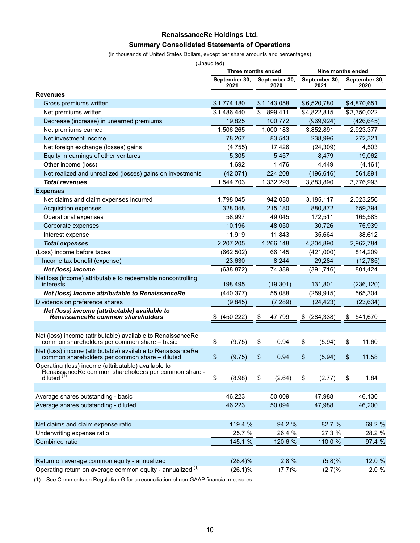### **RenaissanceRe Holdings Ltd. Summary Consolidated Statements of Operations**

(in thousands of United States Dollars, except per share amounts and percentages)

(Unaudited)

|                                                                                                               | Three months ended    |                       |                       | Nine months ended     |  |
|---------------------------------------------------------------------------------------------------------------|-----------------------|-----------------------|-----------------------|-----------------------|--|
|                                                                                                               | September 30,<br>2021 | September 30.<br>2020 | September 30,<br>2021 | September 30,<br>2020 |  |
| <b>Revenues</b>                                                                                               |                       |                       |                       |                       |  |
| Gross premiums written                                                                                        | \$1,774,180           | \$1,143,058           | \$6,520,780           | \$4,870,651           |  |
| Net premiums written                                                                                          | \$1,486,440           | \$<br>899,411         | \$4,822,815           | \$3,350,022           |  |
| Decrease (increase) in unearned premiums                                                                      | 19,825                | 100,772               | (969, 924)            | (426, 645)            |  |
| Net premiums earned                                                                                           | 1,506,265             | 1,000,183             | 3,852,891             | 2,923,377             |  |
| Net investment income                                                                                         | 78,267                | 83,543                | 238,996               | 272,321               |  |
| Net foreign exchange (losses) gains                                                                           | (4, 755)              | 17,426                | (24, 309)             | 4,503                 |  |
| Equity in earnings of other ventures                                                                          | 5,305                 | 5,457                 | 8,479                 | 19,062                |  |
| Other income (loss)                                                                                           | 1,692                 | 1,476                 | 4,449                 | (4, 161)              |  |
| Net realized and unrealized (losses) gains on investments                                                     | (42,071)              | 224,208               | (196, 616)            | 561,891               |  |
| <b>Total revenues</b>                                                                                         | 1,544,703             | 1,332,293             | 3,883,890             | 3,776,993             |  |
| <b>Expenses</b>                                                                                               |                       |                       |                       |                       |  |
| Net claims and claim expenses incurred                                                                        | 1,798,045             | 942,030               | 3,185,117             | 2,023,256             |  |
| Acquisition expenses                                                                                          | 328,048               | 215,180               | 880,872               | 659,394               |  |
| Operational expenses                                                                                          | 58,997                | 49,045                | 172,511               | 165,583               |  |
| Corporate expenses                                                                                            | 10,196                | 48,050                | 30,726                | 75,939                |  |
| Interest expense                                                                                              | 11,919                | 11,843                | 35,664                | 38,612                |  |
| <b>Total expenses</b>                                                                                         | 2,207,205             | 1,266,148             | 4,304,890             | 2,962,784             |  |
| (Loss) income before taxes                                                                                    | (662, 502)            | 66,145                | (421,000)             | 814,209               |  |
| Income tax benefit (expense)                                                                                  | 23,630                | 8,244                 | 29,284                | (12, 785)             |  |
| Net (loss) income                                                                                             | (638, 872)            | 74,389                | (391, 716)            | 801,424               |  |
| Net loss (income) attributable to redeemable noncontrolling<br>interests                                      | 198,495               | (19, 301)             | 131,801               | (236, 120)            |  |
| Net (loss) income attributable to RenaissanceRe                                                               | (440, 377)            | 55,088                | (259, 915)            | 565,304               |  |
| Dividends on preference shares                                                                                | (9,845)               | (7, 289)              | (24, 423)             | (23, 634)             |  |
| Net (loss) income (attributable) available to<br>RenaissanceRe common shareholders                            | (450, 222)<br>\$      | \$<br>47,799          | \$<br>(284, 338)      | \$<br>541,670         |  |
|                                                                                                               |                       |                       |                       |                       |  |
| Net (loss) income (attributable) available to RenaissanceRe<br>common shareholders per common share - basic   | \$<br>(9.75)          | \$<br>0.94            | \$<br>(5.94)          | \$<br>11.60           |  |
| Net (loss) income (attributable) available to RenaissanceRe<br>common shareholders per common share - diluted | \$<br>(9.75)          | \$<br>0.94            | \$<br>(5.94)          | \$<br>11.58           |  |
| Operating (loss) income (attributable) available to                                                           |                       |                       |                       |                       |  |
| RenaissanceRe common shareholders per common share -<br>diluted $(1)$                                         | \$<br>(8.98)          | \$<br>(2.64)          | \$<br>(2.77)          | \$<br>1.84            |  |
|                                                                                                               |                       |                       |                       |                       |  |
| Average shares outstanding - basic                                                                            | 46,223                | 50,009                | 47,988                | 46,130                |  |
| Average shares outstanding - diluted                                                                          | 46,223                | 50,094                | 47,988                | 46,200                |  |
|                                                                                                               |                       |                       |                       |                       |  |
| Net claims and claim expense ratio                                                                            | 119.4 %               | 94.2 %                | 82.7 %                | 69.2 %                |  |
| Underwriting expense ratio                                                                                    | 25.7 %                | 26.4 %                | 27.3 %                | 28.2 %                |  |
| Combined ratio                                                                                                | 145.1 %               | 120.6 %               | 110.0 %               | 97.4 %                |  |
|                                                                                                               |                       |                       |                       |                       |  |
| Return on average common equity - annualized                                                                  | $(28.4)\%$            | 2.8 %                 | (5.8)%                | 12.0 %                |  |
| Operating return on average common equity - annualized (1)                                                    | $(26.1)\%$            | (7.7)%                | (2.7)%                | 2.0 %                 |  |

(1) See Comments on Regulation G for a reconciliation of non-GAAP financial measures.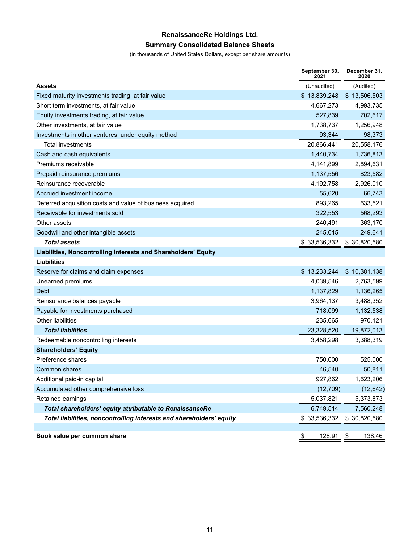# **RenaissanceRe Holdings Ltd.**

## **Summary Consolidated Balance Sheets**

(in thousands of United States Dollars, except per share amounts)

|                                                                      | September 30,<br>2021 | December 31,<br>2020 |
|----------------------------------------------------------------------|-----------------------|----------------------|
| <b>Assets</b>                                                        | (Unaudited)           | (Audited)            |
| Fixed maturity investments trading, at fair value                    | \$13,839,248          | \$13,506,503         |
| Short term investments, at fair value                                | 4,667,273             | 4,993,735            |
| Equity investments trading, at fair value                            | 527,839               | 702,617              |
| Other investments, at fair value                                     | 1,738,737             | 1,256,948            |
| Investments in other ventures, under equity method                   | 93,344                | 98,373               |
| Total investments                                                    | 20.866.441            | 20,558,176           |
| Cash and cash equivalents                                            | 1,440,734             | 1,736,813            |
| Premiums receivable                                                  | 4,141,899             | 2,894,631            |
| Prepaid reinsurance premiums                                         | 1,137,556             | 823,582              |
| Reinsurance recoverable                                              | 4,192,758             | 2,926,010            |
| Accrued investment income                                            | 55,620                | 66,743               |
| Deferred acquisition costs and value of business acquired            | 893,265               | 633,521              |
| Receivable for investments sold                                      | 322,553               | 568,293              |
| Other assets                                                         | 240,491               | 363,170              |
| Goodwill and other intangible assets                                 | 245,015               | 249,641              |
| <b>Total assets</b>                                                  | 33,536,332<br>\$      | \$30,820,580         |
| Liabilities, Noncontrolling Interests and Shareholders' Equity       |                       |                      |
| <b>Liabilities</b>                                                   |                       |                      |
| Reserve for claims and claim expenses                                | \$13,233,244          | \$10,381,138         |
| Unearned premiums                                                    | 4,039,546             | 2,763,599            |
| Debt                                                                 | 1,137,829             | 1,136,265            |
| Reinsurance balances payable                                         | 3,964,137             | 3,488,352            |
| Payable for investments purchased                                    | 718,099               | 1,132,538            |
| <b>Other liabilities</b>                                             | 235,665               | 970,121              |
| <b>Total liabilities</b>                                             | 23,328,520            | 19,872,013           |
| Redeemable noncontrolling interests                                  | 3,458,298             | 3,388,319            |
| <b>Shareholders' Equity</b>                                          |                       |                      |
| Preference shares                                                    | 750,000               | 525,000              |
| Common shares                                                        | 46,540                | 50,811               |
| Additional paid-in capital                                           | 927,862               | 1,623,206            |
| Accumulated other comprehensive loss                                 | (12, 709)             | (12, 642)            |
| Retained earnings                                                    | 5,037,821             | 5,373,873            |
| Total shareholders' equity attributable to RenaissanceRe             | 6,749,514             | 7,560,248            |
| Total liabilities, noncontrolling interests and shareholders' equity | \$33,536,332          | \$30,820,580         |
|                                                                      |                       |                      |
| Book value per common share                                          | \$<br>128.91          | \$<br>138.46         |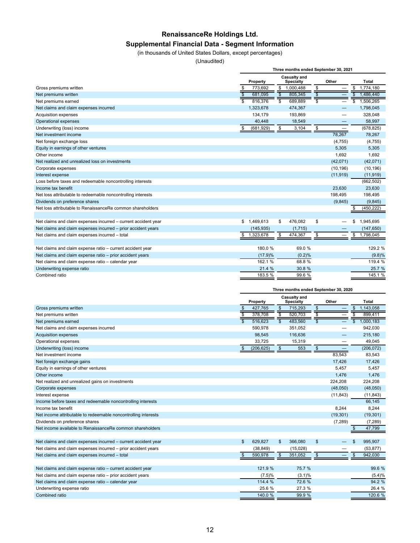## **RenaissanceRe Holdings Ltd. Supplemental Financial Data - Segment Information**

#### (in thousands of United States Dollars, except percentages)

(Unaudited)

|                                                                | Three months ended September 30, 2021 |             |    |                                  |                         |           |    |            |  |
|----------------------------------------------------------------|---------------------------------------|-------------|----|----------------------------------|-------------------------|-----------|----|------------|--|
|                                                                |                                       | Property    |    | Casualty and<br><b>Specialty</b> |                         | Other     |    | Total      |  |
| Gross premiums written                                         | \$                                    | 773.692     |    | \$1,000,488                      | \$                      |           | \$ | 1,774,180  |  |
| Net premiums written                                           | \$                                    | 681,095     | \$ | 805,345                          | \$                      |           | \$ | 1,486,440  |  |
| Net premiums earned                                            |                                       | 816.376     | \$ | 689.889                          | $\overline{\mathbb{s}}$ |           | s, | 1,506,265  |  |
| Net claims and claim expenses incurred                         |                                       | 1,323,678   |    | 474,367                          |                         |           |    | 1,798,045  |  |
| Acquisition expenses                                           |                                       | 134,179     |    | 193,869                          |                         |           |    | 328,048    |  |
| Operational expenses                                           |                                       | 40,448      |    | 18,549                           |                         |           |    | 58.997     |  |
| Underwriting (loss) income                                     | \$                                    | (681, 929)  | \$ | 3,104                            | \$                      |           |    | (678, 825) |  |
| Net investment income                                          |                                       |             |    |                                  |                         | 78.267    |    | 78,267     |  |
| Net foreign exchange loss                                      |                                       |             |    |                                  |                         | (4, 755)  |    | (4, 755)   |  |
| Equity in earnings of other ventures                           |                                       |             |    |                                  |                         | 5,305     |    | 5,305      |  |
| Other income                                                   |                                       |             |    |                                  |                         | 1,692     |    | 1.692      |  |
| Net realized and unrealized loss on investments                |                                       |             |    |                                  |                         | (42,071)  |    | (42,071)   |  |
| Corporate expenses                                             |                                       |             |    |                                  |                         | (10, 196) |    | (10, 196)  |  |
| Interest expense                                               |                                       |             |    |                                  |                         | (11, 919) |    | (11, 919)  |  |
| Loss before taxes and redeemable noncontrolling interests      |                                       |             |    |                                  |                         |           |    | (662, 502) |  |
| Income tax benefit                                             |                                       |             |    |                                  |                         | 23,630    |    | 23,630     |  |
| Net loss attributable to redeemable noncontrolling interests   |                                       |             |    |                                  |                         | 198,495   |    | 198,495    |  |
| Dividends on preference shares                                 |                                       |             |    |                                  |                         | (9,845)   |    | (9,845)    |  |
| Net loss attributable to RenaissanceRe common shareholders     |                                       |             |    |                                  |                         |           |    | (450, 222) |  |
|                                                                |                                       |             |    |                                  |                         |           |    |            |  |
| Net claims and claim expenses incurred - current accident year |                                       | \$1.469.613 | \$ | 476.082                          | \$                      |           | \$ | 1,945,695  |  |
| Net claims and claim expenses incurred - prior accident years  |                                       | (145, 935)  |    | (1,715)                          |                         |           |    | (147, 650) |  |
| Net claims and claim expenses incurred - total                 | \$                                    | 1,323,678   | \$ | 474,367                          | \$                      |           | \$ | 1,798,045  |  |
|                                                                |                                       |             |    |                                  |                         |           |    |            |  |
| Net claims and claim expense ratio - current accident year     |                                       | 180.0 %     |    | 69.0%                            |                         |           |    | 129.2 %    |  |
| Net claims and claim expense ratio - prior accident years      |                                       | (17.9)%     |    | (0.2)%                           |                         |           |    | (9.8)%     |  |
| Net claims and claim expense ratio - calendar year             |                                       | 162.1 %     |    | 68.8%                            |                         |           |    | 119.4 %    |  |
| Underwriting expense ratio                                     |                                       | 21.4 %      |    | 30.8 %                           |                         |           |    | 25.7 %     |  |
| Combined ratio                                                 |                                       | 183.5 %     |    | 99.6 %                           |                         |           |    | 145.1 %    |  |
|                                                                |                                       |             |    |                                  |                         |           |    |            |  |

|                                                                | Three months ended September 30, 2020 |            |                                  |           |       |           |    |              |  |  |
|----------------------------------------------------------------|---------------------------------------|------------|----------------------------------|-----------|-------|-----------|----|--------------|--|--|
|                                                                | Property                              |            | Casualty and<br><b>Specialty</b> |           | Other |           |    | <b>Total</b> |  |  |
| Gross premiums written                                         | \$                                    | 427.765    | $\sqrt[6]{3}$                    | 715,293   | \$    |           | \$ | 1,143,058    |  |  |
| Net premiums written                                           | $\overline{\mathbb{s}}$               | 378,708    | $\overline{\mathsf{s}}$          | 520,703   | T     |           | 3  | 899,411      |  |  |
| Net premiums earned                                            |                                       | 516.623    |                                  | 483,560   | \$    |           | \$ | 1,000,183    |  |  |
| Net claims and claim expenses incurred                         |                                       | 590,978    |                                  | 351,052   |       |           |    | 942,030      |  |  |
| <b>Acquisition expenses</b>                                    |                                       | 98,545     |                                  | 116,636   |       |           |    | 215,180      |  |  |
| Operational expenses                                           |                                       | 33,725     |                                  | 15,319    |       |           |    | 49,045       |  |  |
| Underwriting (loss) income                                     | \$                                    | (206, 625) | $\sqrt[6]{3}$                    | 553       | \$    |           |    | (206, 072)   |  |  |
| Net investment income                                          |                                       |            |                                  |           |       | 83,543    |    | 83,543       |  |  |
| Net foreign exchange gains                                     |                                       |            |                                  |           |       | 17,426    |    | 17,426       |  |  |
| Equity in earnings of other ventures                           |                                       |            |                                  |           |       | 5,457     |    | 5,457        |  |  |
| Other income                                                   |                                       |            |                                  |           |       | 1,476     |    | 1,476        |  |  |
| Net realized and unrealized gains on investments               |                                       |            |                                  |           |       | 224,208   |    | 224,208      |  |  |
| Corporate expenses                                             |                                       |            |                                  |           |       | (48,050)  |    | (48,050)     |  |  |
| Interest expense                                               |                                       |            |                                  |           |       | (11, 843) |    | (11, 843)    |  |  |
| Income before taxes and redeemable noncontrolling interests    |                                       |            |                                  |           |       |           |    | 66,145       |  |  |
| Income tax benefit                                             |                                       |            |                                  |           |       | 8,244     |    | 8,244        |  |  |
| Net income attributable to redeemable noncontrolling interests |                                       |            |                                  |           |       | (19, 301) |    | (19, 301)    |  |  |
| Dividends on preference shares                                 |                                       |            |                                  |           |       | (7, 289)  |    | (7, 289)     |  |  |
| Net income available to RenaissanceRe common shareholders      |                                       |            |                                  |           |       |           | \$ | 47,799       |  |  |
|                                                                |                                       |            |                                  |           |       |           |    |              |  |  |
| Net claims and claim expenses incurred – current accident year | \$                                    | 629,827    | \$                               | 366,080   | \$    |           | \$ | 995,907      |  |  |
| Net claims and claim expenses incurred - prior accident years  |                                       | (38, 849)  |                                  | (15,028)  |       |           |    | (53, 877)    |  |  |
| Net claims and claim expenses incurred - total                 |                                       | 590,978    | $\mathbf{\$}$                    | 351,052   | \$    |           |    | 942,030      |  |  |
|                                                                |                                       |            |                                  |           |       |           |    |              |  |  |
| Net claims and claim expense ratio - current accident year     |                                       | 121.9 %    |                                  | 75.7 %    |       |           |    | 99.6 %       |  |  |
| Net claims and claim expense ratio - prior accident years      |                                       | (7.5)%     |                                  | $(3.1)\%$ |       |           |    | (5.4)%       |  |  |
| Net claims and claim expense ratio - calendar year             |                                       | 114.4 %    |                                  | 72.6 %    |       |           |    | 94.2%        |  |  |
| Underwriting expense ratio                                     |                                       | 25.6 %     |                                  | 27.3 %    |       |           |    | 26.4 %       |  |  |
| Combined ratio                                                 |                                       | 140.0 %    |                                  | 99.9 %    |       |           |    | 120.6 %      |  |  |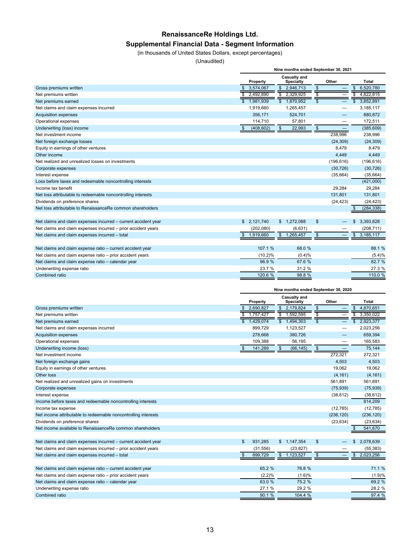# **RenaissanceRe Holdings Ltd.**

# **Supplemental Financial Data - Segment Information**

(in thousands of United States Dollars, except percentages)

(Unaudited)

|                                                                |                | Nine months ended September 30, 2021 |                |                           |                         |            |    |             |  |
|----------------------------------------------------------------|----------------|--------------------------------------|----------------|---------------------------|-------------------------|------------|----|-------------|--|
|                                                                |                | Property                             |                | Casualty and<br>Specialty |                         | Other      |    | Total       |  |
| Gross premiums written                                         |                | 3,574,067                            | \$             | 2,946,713                 | \$                      |            | \$ | 6,520,780   |  |
| Net premiums written                                           |                | 2,492,890                            |                | \$2,329,925               |                         |            |    | 4,822,815   |  |
| Net premiums earned                                            |                | 1,981,939                            |                | \$1,870,952               | \$                      |            | \$ | 3,852,891   |  |
| Net claims and claim expenses incurred                         |                | 1,919,660                            |                | 1,265,457                 |                         |            |    | 3,185,117   |  |
| <b>Acquisition expenses</b>                                    |                | 356.171                              |                | 524,701                   |                         |            |    | 880.872     |  |
| Operational expenses                                           |                | 114,710                              |                | 57,801                    |                         | —          |    | 172,511     |  |
| Underwriting (loss) income                                     | $\mathfrak{S}$ | (408, 602)                           | $\mathfrak{S}$ | 22,993                    | $\sqrt[6]{\frac{1}{2}}$ |            |    | (385, 609)  |  |
| Net investment income                                          |                |                                      |                |                           |                         | 238,996    |    | 238,996     |  |
| Net foreign exchange losses                                    |                |                                      |                |                           |                         | (24, 309)  |    | (24, 309)   |  |
| Equity in earnings of other ventures                           |                |                                      |                |                           |                         | 8,479      |    | 8.479       |  |
| Other income                                                   |                |                                      |                |                           |                         | 4,449      |    | 4,449       |  |
| Net realized and unrealized losses on investments              |                |                                      |                |                           |                         | (196, 616) |    | (196, 616)  |  |
| Corporate expenses                                             |                |                                      |                |                           |                         | (30, 726)  |    | (30, 726)   |  |
| Interest expense                                               |                |                                      |                |                           |                         | (35, 664)  |    | (35,664)    |  |
| Loss before taxes and redeemable noncontrolling interests      |                |                                      |                |                           |                         |            |    | (421,000)   |  |
| Income tax benefit                                             |                |                                      |                |                           |                         | 29.284     |    | 29,284      |  |
| Net loss attributable to redeemable noncontrolling interests   |                |                                      |                |                           |                         | 131.801    |    | 131,801     |  |
| Dividends on preference shares                                 |                |                                      |                |                           |                         | (24, 423)  |    | (24, 423)   |  |
| Net loss attributable to RenaissanceRe common shareholders     |                |                                      |                |                           |                         |            | S  | (284, 338)  |  |
|                                                                |                |                                      |                |                           |                         |            |    |             |  |
| Net claims and claim expenses incurred - current accident year |                | \$2,121,740                          |                | \$1,272,088               | $\sqrt[6]{3}$           |            | \$ | 3,393,828   |  |
| Net claims and claim expenses incurred - prior accident years  |                | (202,080)                            |                | (6,631)                   |                         |            |    | (208, 711)  |  |
| Net claims and claim expenses incurred - total                 |                | \$1.919,660                          | $\mathbb{S}$   | 1.265.457                 | $\sqrt[6]{\frac{1}{2}}$ |            |    | \$3,185,117 |  |
|                                                                |                |                                      |                |                           |                         |            |    |             |  |
| Net claims and claim expense ratio - current accident year     |                | 107.1%                               |                | 68.0 %                    |                         |            |    | 88.1 %      |  |
| Net claims and claim expense ratio - prior accident years      |                | (10.2)%                              |                | (0.4)%                    |                         |            |    | (5.4)%      |  |
| Net claims and claim expense ratio - calendar year             |                | 96.9%                                |                | 67.6 %                    |                         |            |    | 82.7 %      |  |
| Underwriting expense ratio                                     |                | 23.7 %                               |                | 31.2 %                    |                         |            |    | 27.3 %      |  |
| Combined ratio                                                 |                | 120.6 %                              |                | 98.8 %                    |                         |            |    | 110.0 %     |  |
|                                                                |                |                                      |                |                           |                         |            |    |             |  |

|                                                                | Nine months ended September 30, 2020 |           |                                  |             |               |            |    |              |  |
|----------------------------------------------------------------|--------------------------------------|-----------|----------------------------------|-------------|---------------|------------|----|--------------|--|
|                                                                | Property                             |           | Casualty and<br><b>Specialty</b> |             | Other         |            |    | <b>Total</b> |  |
| Gross premiums written                                         |                                      | 2,690,827 |                                  | 2,179,824   | \$            |            | \$ | 4,870,651    |  |
| Net premiums written                                           | S                                    | 1,757,427 | s.                               | 1,592,595   | S             |            | S  | 3,350,022    |  |
| Net premiums earned                                            | $\overline{\mathbb{S}}$              | 1,429,074 |                                  | \$1,494,303 |               |            | \$ | 2,923,377    |  |
| Net claims and claim expenses incurred                         |                                      | 899.729   |                                  | 1,123,527   |               |            |    | 2,023,256    |  |
| <b>Acquisition expenses</b>                                    |                                      | 278,668   |                                  | 380,726     |               |            |    | 659,394      |  |
| Operational expenses                                           |                                      | 109,388   |                                  | 56,195      |               |            |    | 165,583      |  |
| Underwriting income (loss)                                     | \$                                   | 141,289   | \$                               | (66, 145)   | \$            |            |    | 75,144       |  |
| Net investment income                                          |                                      |           |                                  |             |               | 272,321    |    | 272,321      |  |
| Net foreign exchange gains                                     |                                      |           |                                  |             |               | 4,503      |    | 4,503        |  |
| Equity in earnings of other ventures                           |                                      |           |                                  |             |               | 19,062     |    | 19,062       |  |
| Other loss                                                     |                                      |           |                                  |             |               | (4, 161)   |    | (4, 161)     |  |
| Net realized and unrealized gains on investments               |                                      |           |                                  |             |               | 561,891    |    | 561,891      |  |
| Corporate expenses                                             |                                      |           |                                  |             |               | (75, 939)  |    | (75, 939)    |  |
| Interest expense                                               |                                      |           |                                  |             |               | (38, 612)  |    | (38, 612)    |  |
| Income before taxes and redeemable noncontrolling interests    |                                      |           |                                  |             |               |            |    | 814,209      |  |
| Income tax expense                                             |                                      |           |                                  |             |               | (12, 785)  |    | (12, 785)    |  |
| Net income attributable to redeemable noncontrolling interests |                                      |           |                                  |             |               | (236, 120) |    | (236, 120)   |  |
| Dividends on preference shares                                 |                                      |           |                                  |             |               | (23, 634)  |    | (23, 634)    |  |
| Net income available to RenaissanceRe common shareholders      |                                      |           |                                  |             |               |            |    | 541,670      |  |
|                                                                |                                      |           |                                  |             |               |            |    |              |  |
| Net claims and claim expenses incurred - current accident year | $\mathbf{\$}$                        | 931.285   |                                  | \$1,147,354 | \$            |            | \$ | 2,078,639    |  |
| Net claims and claim expenses incurred - prior accident years  |                                      | (31, 556) |                                  | (23, 827)   |               |            |    | (55, 383)    |  |
| Net claims and claim expenses incurred - total                 | \$                                   | 899,729   | \$                               | 1,123,527   | $\sqrt[6]{3}$ |            | \$ | 2,023,256    |  |
|                                                                |                                      |           |                                  |             |               |            |    |              |  |
| Net claims and claim expense ratio - current accident year     |                                      | 65.2 %    |                                  | 76.8%       |               |            |    | 71.1 %       |  |
| Net claims and claim expense ratio - prior accident years      |                                      | (2.2)%    |                                  | (1.6)%      |               |            |    | (1.9)%       |  |
| Net claims and claim expense ratio - calendar year             |                                      | 63.0 %    |                                  | 75.2 %      |               |            |    | 69.2 %       |  |
| Underwriting expense ratio                                     |                                      | 27.1 %    |                                  | 29.2 %      |               |            |    | 28.2 %       |  |
| Combined ratio                                                 |                                      | 90.1%     |                                  | 104.4 %     |               |            |    | 97.4 %       |  |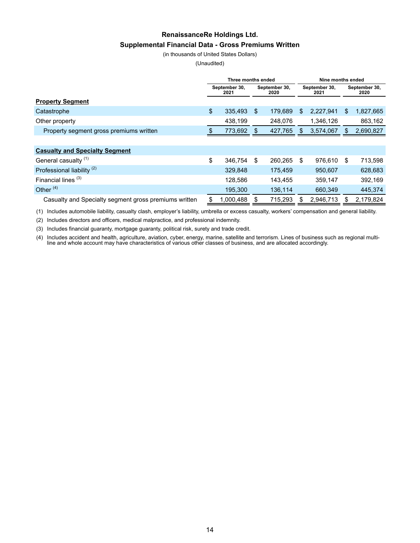## **RenaissanceRe Holdings Ltd. Supplemental Financial Data - Gross Premiums Written**

(in thousands of United States Dollars)

(Unaudited)

|                                                       | Three months ended    |           |    |                       | Nine months ended |                       |    |                       |  |
|-------------------------------------------------------|-----------------------|-----------|----|-----------------------|-------------------|-----------------------|----|-----------------------|--|
|                                                       | September 30,<br>2021 |           |    | September 30,<br>2020 |                   | September 30,<br>2021 |    | September 30,<br>2020 |  |
| <b>Property Segment</b>                               |                       |           |    |                       |                   |                       |    |                       |  |
| Catastrophe                                           | \$                    | 335,493   | \$ | 179,689               | \$                | 2.227.941             | \$ | 1,827,665             |  |
| Other property                                        |                       | 438,199   |    | 248,076               |                   | 1,346,126             |    | 863,162               |  |
| Property segment gross premiums written               |                       | 773,692   | S  | 427,765               | \$.               | 3,574,067             | \$ | 2,690,827             |  |
|                                                       |                       |           |    |                       |                   |                       |    |                       |  |
| <b>Casualty and Specialty Segment</b>                 |                       |           |    |                       |                   |                       |    |                       |  |
| General casualty <sup>(1)</sup>                       | \$                    | 346.754   | \$ | 260.265               | \$                | 976.610               | \$ | 713,598               |  |
| Professional liability <sup>(2)</sup>                 |                       | 329.848   |    | 175.459               |                   | 950,607               |    | 628,683               |  |
| Financial lines <sup>(3)</sup>                        |                       | 128.586   |    | 143.455               |                   | 359,147               |    | 392,169               |  |
| Other $(4)$                                           |                       | 195,300   |    | 136,114               |                   | 660.349               |    | 445,374               |  |
| Casualty and Specialty segment gross premiums written |                       | 1,000,488 |    | 715,293               |                   | 2,946,713             | S  | 2,179,824             |  |

(1) Includes automobile liability, casualty clash, employer's liability, umbrella or excess casualty, workers' compensation and general liability.

(2) Includes directors and officers, medical malpractice, and professional indemnity.

(3) Includes financial guaranty, mortgage guaranty, political risk, surety and trade credit.

(4) Includes accident and health, agriculture, aviation, cyber, energy, marine, satellite and terrorism. Lines of business such as regional multiline and whole account may have characteristics of various other classes of business, and are allocated accordingly.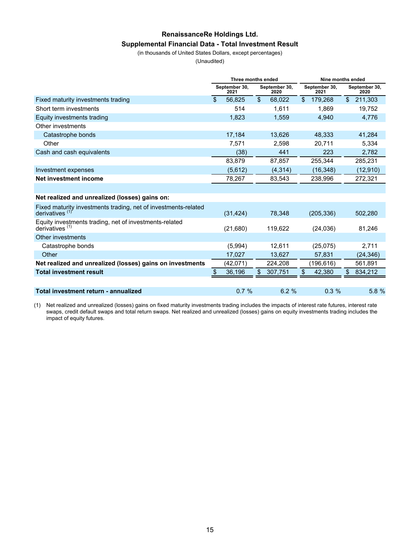## **RenaissanceRe Holdings Ltd. Supplemental Financial Data - Total Investment Result**

(in thousands of United States Dollars, except percentages)

(Unaudited)

|                                                                                      | Three months ended    |           |                |                       |    | Nine months ended     |                |                       |  |  |  |
|--------------------------------------------------------------------------------------|-----------------------|-----------|----------------|-----------------------|----|-----------------------|----------------|-----------------------|--|--|--|
|                                                                                      | September 30,<br>2021 |           |                | September 30,<br>2020 |    | September 30,<br>2021 |                | September 30,<br>2020 |  |  |  |
| Fixed maturity investments trading                                                   | $\mathfrak{L}$        | 56,825    | $\mathfrak{L}$ | 68,022                | \$ | 179,268               | $\mathfrak{L}$ | 211,303               |  |  |  |
| Short term investments                                                               |                       | 514       |                | 1,611                 |    | 1,869                 |                | 19,752                |  |  |  |
| Equity investments trading                                                           |                       | 1,823     |                | 1.559                 |    | 4.940                 |                | 4,776                 |  |  |  |
| Other investments                                                                    |                       |           |                |                       |    |                       |                |                       |  |  |  |
| Catastrophe bonds                                                                    |                       | 17,184    |                | 13,626                |    | 48,333                |                | 41,284                |  |  |  |
| Other                                                                                |                       | 7,571     |                | 2,598                 |    | 20,711                |                | 5,334                 |  |  |  |
| Cash and cash equivalents                                                            |                       | (38)      |                | 441                   |    | 223                   |                | 2,782                 |  |  |  |
|                                                                                      |                       | 83,879    |                | 87,857                |    | 255,344               |                | 285,231               |  |  |  |
| Investment expenses                                                                  |                       | (5,612)   |                | (4, 314)              |    | (16, 348)             |                | (12, 910)             |  |  |  |
| Net investment income                                                                |                       | 78,267    |                | 83,543                |    | 238,996               |                | 272,321               |  |  |  |
|                                                                                      |                       |           |                |                       |    |                       |                |                       |  |  |  |
| Net realized and unrealized (losses) gains on:                                       |                       |           |                |                       |    |                       |                |                       |  |  |  |
| Fixed maturity investments trading, net of investments-related<br>derivatives $(1)$  |                       | (31, 424) |                | 78,348                |    | (205, 336)            |                | 502,280               |  |  |  |
| Equity investments trading, net of investments-related<br>derivatives <sup>(1)</sup> |                       | (21,680)  |                | 119,622               |    | (24, 036)             |                | 81,246                |  |  |  |
| Other investments                                                                    |                       |           |                |                       |    |                       |                |                       |  |  |  |
| Catastrophe bonds                                                                    |                       | (5,994)   |                | 12.611                |    | (25,075)              |                | 2,711                 |  |  |  |
| Other                                                                                |                       | 17,027    |                | 13,627                |    | 57,831                |                | (24, 346)             |  |  |  |
| Net realized and unrealized (losses) gains on investments                            |                       | (42,071)  |                | 224,208               |    | (196,616)             |                | 561,891               |  |  |  |
| <b>Total investment result</b>                                                       | $\frac{1}{2}$         | 36,196    | \$             | 307,751               | \$ | 42,380                | \$             | 834,212               |  |  |  |
|                                                                                      |                       |           |                |                       |    |                       |                |                       |  |  |  |
| Total investment return - annualized                                                 |                       | 0.7%      |                | 6.2%                  |    | 0.3%                  |                | 5.8%                  |  |  |  |

(1) Net realized and unrealized (losses) gains on fixed maturity investments trading includes the impacts of interest rate futures, interest rate swaps, credit default swaps and total return swaps. Net realized and unrealized (losses) gains on equity investments trading includes the impact of equity futures.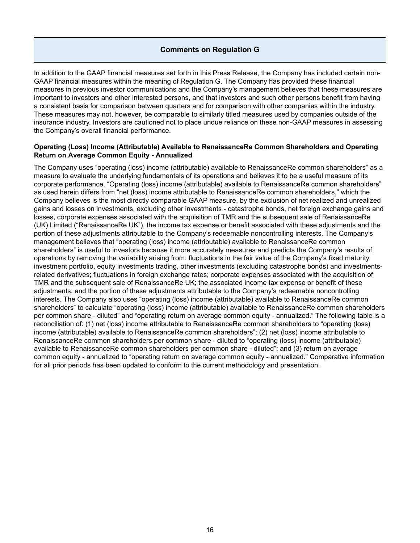#### **Comments on Regulation G**

In addition to the GAAP financial measures set forth in this Press Release, the Company has included certain non-GAAP financial measures within the meaning of Regulation G. The Company has provided these financial measures in previous investor communications and the Company's management believes that these measures are important to investors and other interested persons, and that investors and such other persons benefit from having a consistent basis for comparison between quarters and for comparison with other companies within the industry. These measures may not, however, be comparable to similarly titled measures used by companies outside of the insurance industry. Investors are cautioned not to place undue reliance on these non-GAAP measures in assessing the Company's overall financial performance.

#### **Operating (Loss) Income (Attributable) Available to RenaissanceRe Common Shareholders and Operating Return on Average Common Equity - Annualized**

The Company uses "operating (loss) income (attributable) available to RenaissanceRe common shareholders" as a measure to evaluate the underlying fundamentals of its operations and believes it to be a useful measure of its corporate performance. "Operating (loss) income (attributable) available to RenaissanceRe common shareholders" as used herein differs from "net (loss) income attributable to RenaissanceRe common shareholders," which the Company believes is the most directly comparable GAAP measure, by the exclusion of net realized and unrealized gains and losses on investments, excluding other investments - catastrophe bonds, net foreign exchange gains and losses, corporate expenses associated with the acquisition of TMR and the subsequent sale of RenaissanceRe (UK) Limited ("RenaissanceRe UK"), the income tax expense or benefit associated with these adjustments and the portion of these adjustments attributable to the Company's redeemable noncontrolling interests. The Company's management believes that "operating (loss) income (attributable) available to RenaissanceRe common shareholders" is useful to investors because it more accurately measures and predicts the Company's results of operations by removing the variability arising from: fluctuations in the fair value of the Company's fixed maturity investment portfolio, equity investments trading, other investments (excluding catastrophe bonds) and investmentsrelated derivatives; fluctuations in foreign exchange rates; corporate expenses associated with the acquisition of TMR and the subsequent sale of RenaissanceRe UK; the associated income tax expense or benefit of these adjustments; and the portion of these adjustments attributable to the Company's redeemable noncontrolling interests. The Company also uses "operating (loss) income (attributable) available to RenaissanceRe common shareholders" to calculate "operating (loss) income (attributable) available to RenaissanceRe common shareholders per common share - diluted" and "operating return on average common equity - annualized." The following table is a reconciliation of: (1) net (loss) income attributable to RenaissanceRe common shareholders to "operating (loss) income (attributable) available to RenaissanceRe common shareholders"; (2) net (loss) income attributable to RenaissanceRe common shareholders per common share - diluted to "operating (loss) income (attributable) available to RenaissanceRe common shareholders per common share - diluted"; and (3) return on average common equity - annualized to "operating return on average common equity - annualized." Comparative information for all prior periods has been updated to conform to the current methodology and presentation.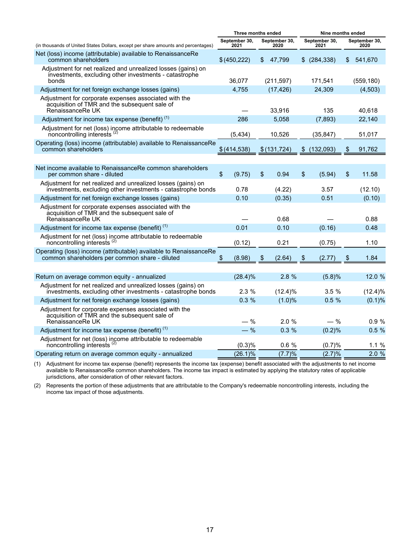|                                                                                                                                 |                       | Three months ended    | Nine months ended     |                       |  |  |
|---------------------------------------------------------------------------------------------------------------------------------|-----------------------|-----------------------|-----------------------|-----------------------|--|--|
| (in thousands of United States Dollars, except per share amounts and percentages)                                               | September 30,<br>2021 | September 30,<br>2020 | September 30,<br>2021 | September 30,<br>2020 |  |  |
| Net (loss) income (attributable) available to RenaissanceRe<br>common shareholders                                              | \$(450, 222)          | \$<br>47,799          | (284, 338)<br>\$      | 541,670<br>\$         |  |  |
| Adjustment for net realized and unrealized losses (gains) on<br>investments, excluding other investments - catastrophe<br>bonds | 36,077                | (211, 597)            | 171,541               | (559, 180)            |  |  |
| Adjustment for net foreign exchange losses (gains)                                                                              | 4,755                 | (17, 426)             | 24,309                | (4, 503)              |  |  |
| Adjustment for corporate expenses associated with the<br>acquisition of TMR and the subsequent sale of<br>RenaissanceRe UK      |                       | 33,916                | 135                   | 40,618                |  |  |
| Adjustment for income tax expense (benefit) <sup>(1)</sup>                                                                      | 286                   | 5,058                 | (7,893)               | 22,140                |  |  |
| Adjustment for net (loss) income attributable to redeemable<br>noncontrolling interests <sup>(2)</sup>                          | (5, 434)              | 10,526                | (35, 847)             | 51,017                |  |  |
| Operating (loss) income (attributable) available to RenaissanceRe<br>common shareholders                                        | \$(414,538)           | \$(131, 724)          | \$<br>(132,093)       | \$<br>91,762          |  |  |
|                                                                                                                                 |                       |                       |                       |                       |  |  |
| Net income available to RenaissanceRe common shareholders<br>per common share - diluted                                         | \$<br>(9.75)          | \$<br>0.94            | \$<br>(5.94)          | \$<br>11.58           |  |  |
| Adjustment for net realized and unrealized losses (gains) on<br>investments, excluding other investments - catastrophe bonds    | 0.78                  | (4.22)                | 3.57                  | (12.10)               |  |  |
| Adjustment for net foreign exchange losses (gains)                                                                              | 0.10                  | (0.35)                | 0.51                  | (0.10)                |  |  |
| Adjustment for corporate expenses associated with the<br>acquisition of TMR and the subsequent sale of<br>RenaissanceRe UK      |                       | 0.68                  |                       | 0.88                  |  |  |
| Adjustment for income tax expense (benefit) <sup>(1)</sup>                                                                      | 0.01                  | 0.10                  | (0.16)                | 0.48                  |  |  |
| Adjustment for net (loss) income attributable to redeemable<br>noncontrolling interests <sup>(2)</sup>                          | (0.12)                | 0.21                  | (0.75)                | 1.10                  |  |  |
| Operating (loss) income (attributable) available to RenaissanceRe<br>common shareholders per common share - diluted             | (8.98)<br>\$          | (2.64)<br>\$          | (2.77)                | 1.84<br>\$            |  |  |
|                                                                                                                                 |                       |                       |                       |                       |  |  |
| Return on average common equity - annualized                                                                                    | $(28.4)\%$            | 2.8 %                 | (5.8)%                | 12.0 %                |  |  |
| Adjustment for net realized and unrealized losses (gains) on<br>investments, excluding other investments - catastrophe bonds    | 2.3%                  | $(12.4)\%$            | 3.5%                  | $(12.4)\%$            |  |  |
| Adjustment for net foreign exchange losses (gains)                                                                              | 0.3%                  | $(1.0)\%$             | 0.5%                  | (0.1)%                |  |  |
| Adjustment for corporate expenses associated with the<br>acquisition of TMR and the subsequent sale of<br>RenaissanceRe UK      | $-$ %                 | 2.0%                  | $-$ %                 | 0.9%                  |  |  |
| Adjustment for income tax expense (benefit) <sup>(1)</sup>                                                                      | $-$ %                 | 0.3%                  | (0.2)%                | 0.5%                  |  |  |
| Adjustment for net (loss) income attributable to redeemable<br>noncontrolling interests <sup>(2)</sup>                          | (0.3)%                | 0.6%                  | (0.7)%                | 1.1%                  |  |  |
| Operating return on average common equity - annualized                                                                          | $(26.1)\%$            | (7.7)%                | (2.7)%                | 2.0%                  |  |  |

(1) Adjustment for income tax expense (benefit) represents the income tax (expense) benefit associated with the adjustments to net income available to RenaissanceRe common shareholders. The income tax impact is estimated by applying the statutory rates of applicable jurisdictions, after consideration of other relevant factors.

(2) Represents the portion of these adjustments that are attributable to the Company's redeemable noncontrolling interests, including the income tax impact of those adjustments.